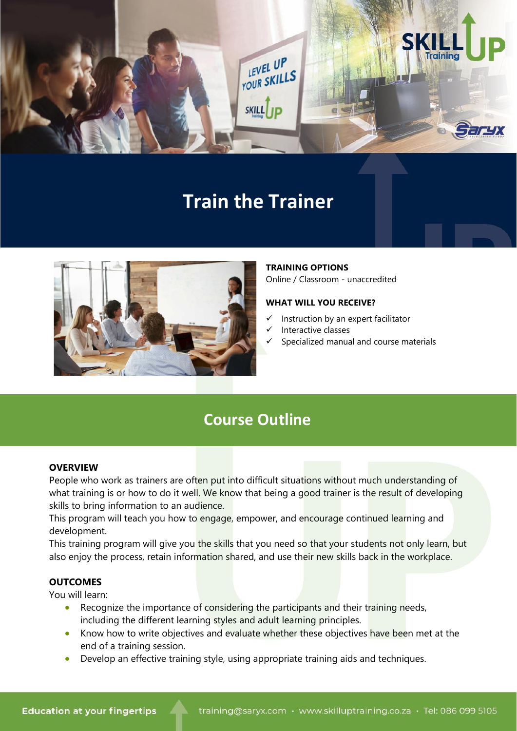

# **Train the Trainer**



### **TRAINING OPTIONS** Online / Classroom - unaccredited

### **WHAT WILL YOU RECEIVE?**

- Instruction by an expert facilitator
- Interactive classes
- Specialized manual and course materials

# **Course Outline**

### **OVERVIEW**

People who work as trainers are often put into difficult situations without much understanding of what training is or how to do it well. We know that being a good trainer is the result of developing skills to bring information to an audience.

This program will teach you how to engage, empower, and encourage continued learning and development.

This training program will give you the skills that you need so that your students not only learn, but also enjoy the process, retain information shared, and use their new skills back in the workplace.

## **OUTCOMES**

You will learn:

- Recognize the importance of considering the participants and their training needs, including the different learning styles and adult learning principles.
- Know how to write objectives and evaluate whether these objectives have been met at the end of a training session.
- Develop an effective training style, using appropriate training aids and techniques.